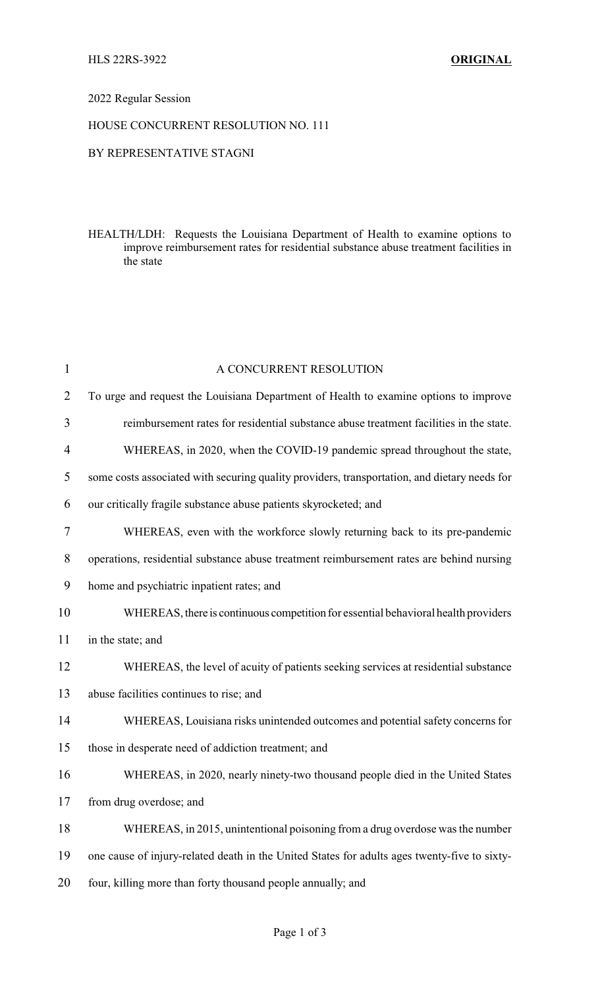### 2022 Regular Session

### HOUSE CONCURRENT RESOLUTION NO. 111

## BY REPRESENTATIVE STAGNI

HEALTH/LDH: Requests the Louisiana Department of Health to examine options to improve reimbursement rates for residential substance abuse treatment facilities in the state

| $\mathbf{1}$   | A CONCURRENT RESOLUTION                                                                      |  |  |
|----------------|----------------------------------------------------------------------------------------------|--|--|
| $\overline{2}$ | To urge and request the Louisiana Department of Health to examine options to improve         |  |  |
| 3              | reimbursement rates for residential substance abuse treatment facilities in the state.       |  |  |
| $\overline{4}$ | WHEREAS, in 2020, when the COVID-19 pandemic spread throughout the state,                    |  |  |
| 5              | some costs associated with securing quality providers, transportation, and dietary needs for |  |  |
| 6              | our critically fragile substance abuse patients skyrocketed; and                             |  |  |
| $\tau$         | WHEREAS, even with the workforce slowly returning back to its pre-pandemic                   |  |  |
| 8              | operations, residential substance abuse treatment reimbursement rates are behind nursing     |  |  |
| 9              | home and psychiatric inpatient rates; and                                                    |  |  |
| 10             | WHEREAS, there is continuous competition for essential behavioral health providers           |  |  |
| 11             | in the state; and                                                                            |  |  |
| 12             | WHEREAS, the level of acuity of patients seeking services at residential substance           |  |  |
| 13             | abuse facilities continues to rise; and                                                      |  |  |
| 14             | WHEREAS, Louisiana risks unintended outcomes and potential safety concerns for               |  |  |
| 15             | those in desperate need of addiction treatment; and                                          |  |  |
| 16             | WHEREAS, in 2020, nearly ninety-two thousand people died in the United States                |  |  |
| 17             | from drug overdose; and                                                                      |  |  |
| 18             | WHEREAS, in 2015, unintentional poisoning from a drug overdose was the number                |  |  |
| 19             | one cause of injury-related death in the United States for adults ages twenty-five to sixty- |  |  |
| 20             | four, killing more than forty thousand people annually; and                                  |  |  |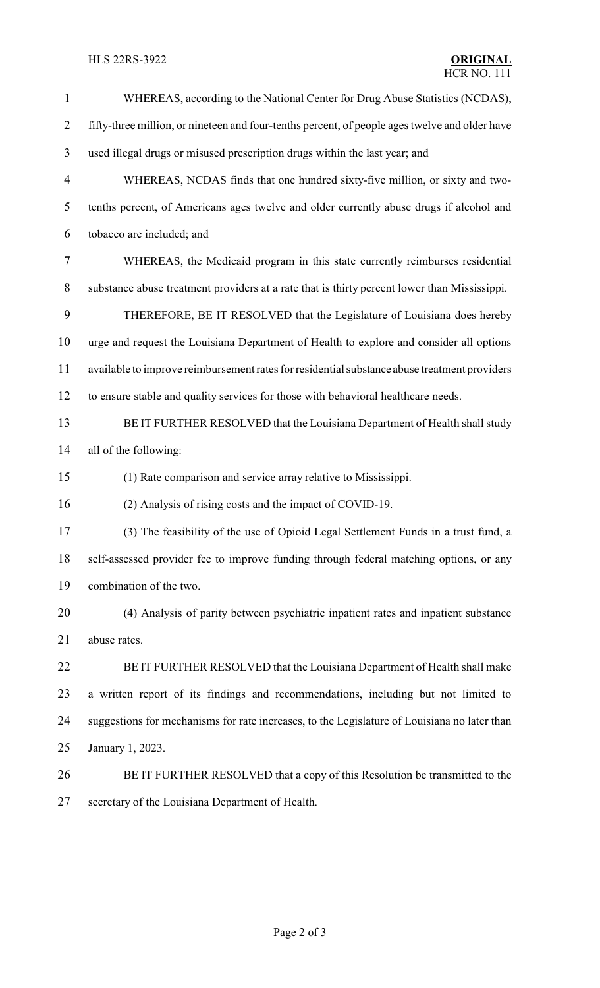# **HLS 22RS-3922**

| $\mathbf{1}$   | WHEREAS, according to the National Center for Drug Abuse Statistics (NCDAS),                   |  |  |
|----------------|------------------------------------------------------------------------------------------------|--|--|
| $\overline{2}$ | fifty-three million, or nineteen and four-tenths percent, of people ages twelve and older have |  |  |
| 3              | used illegal drugs or misused prescription drugs within the last year; and                     |  |  |
| 4              | WHEREAS, NCDAS finds that one hundred sixty-five million, or sixty and two-                    |  |  |
| 5              | tenths percent, of Americans ages twelve and older currently abuse drugs if alcohol and        |  |  |
| 6              | tobacco are included; and                                                                      |  |  |
| 7              | WHEREAS, the Medicaid program in this state currently reimburses residential                   |  |  |
| $8\,$          | substance abuse treatment providers at a rate that is thirty percent lower than Mississippi.   |  |  |
| 9              | THEREFORE, BE IT RESOLVED that the Legislature of Louisiana does hereby                        |  |  |
| 10             | urge and request the Louisiana Department of Health to explore and consider all options        |  |  |
| 11             | available to improve reimbursement rates for residential substance abuse treatment providers   |  |  |
| 12             | to ensure stable and quality services for those with behavioral healthcare needs.              |  |  |
| 13             | BE IT FURTHER RESOLVED that the Louisiana Department of Health shall study                     |  |  |
| 14             | all of the following:                                                                          |  |  |
| 15             | (1) Rate comparison and service array relative to Mississippi.                                 |  |  |
| 16             | (2) Analysis of rising costs and the impact of COVID-19.                                       |  |  |
| 17             | (3) The feasibility of the use of Opioid Legal Settlement Funds in a trust fund, a             |  |  |
| 18             | self-assessed provider fee to improve funding through federal matching options, or any         |  |  |
| 19             | combination of the two.                                                                        |  |  |
| 20             | (4) Analysis of parity between psychiatric inpatient rates and inpatient substance             |  |  |
| 21             | abuse rates.                                                                                   |  |  |
| 22             | BE IT FURTHER RESOLVED that the Louisiana Department of Health shall make                      |  |  |
| 23             | a written report of its findings and recommendations, including but not limited to             |  |  |
| 24             | suggestions for mechanisms for rate increases, to the Legislature of Louisiana no later than   |  |  |
| 25             | January 1, 2023.                                                                               |  |  |
| 26             | BE IT FURTHER RESOLVED that a copy of this Resolution be transmitted to the                    |  |  |
| 27             | secretary of the Louisiana Department of Health.                                               |  |  |